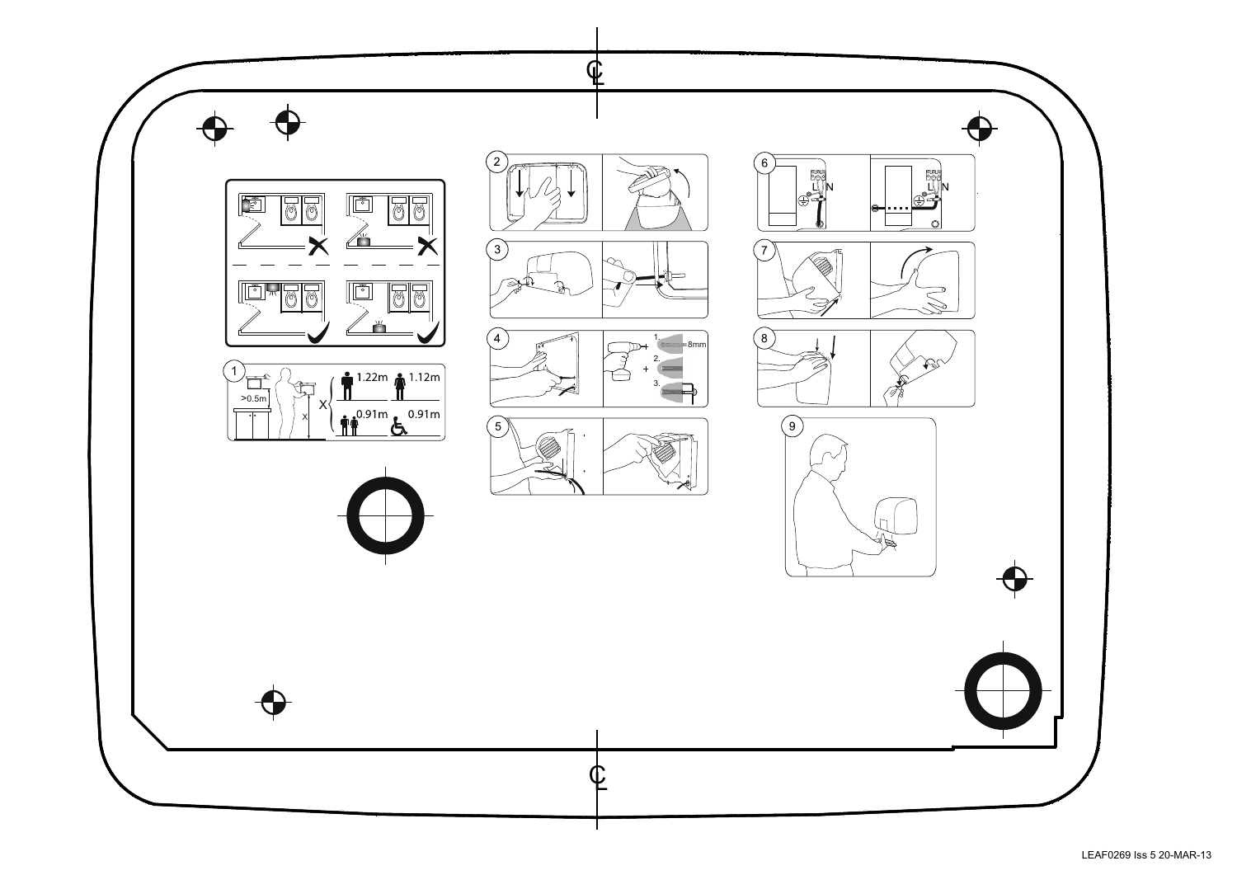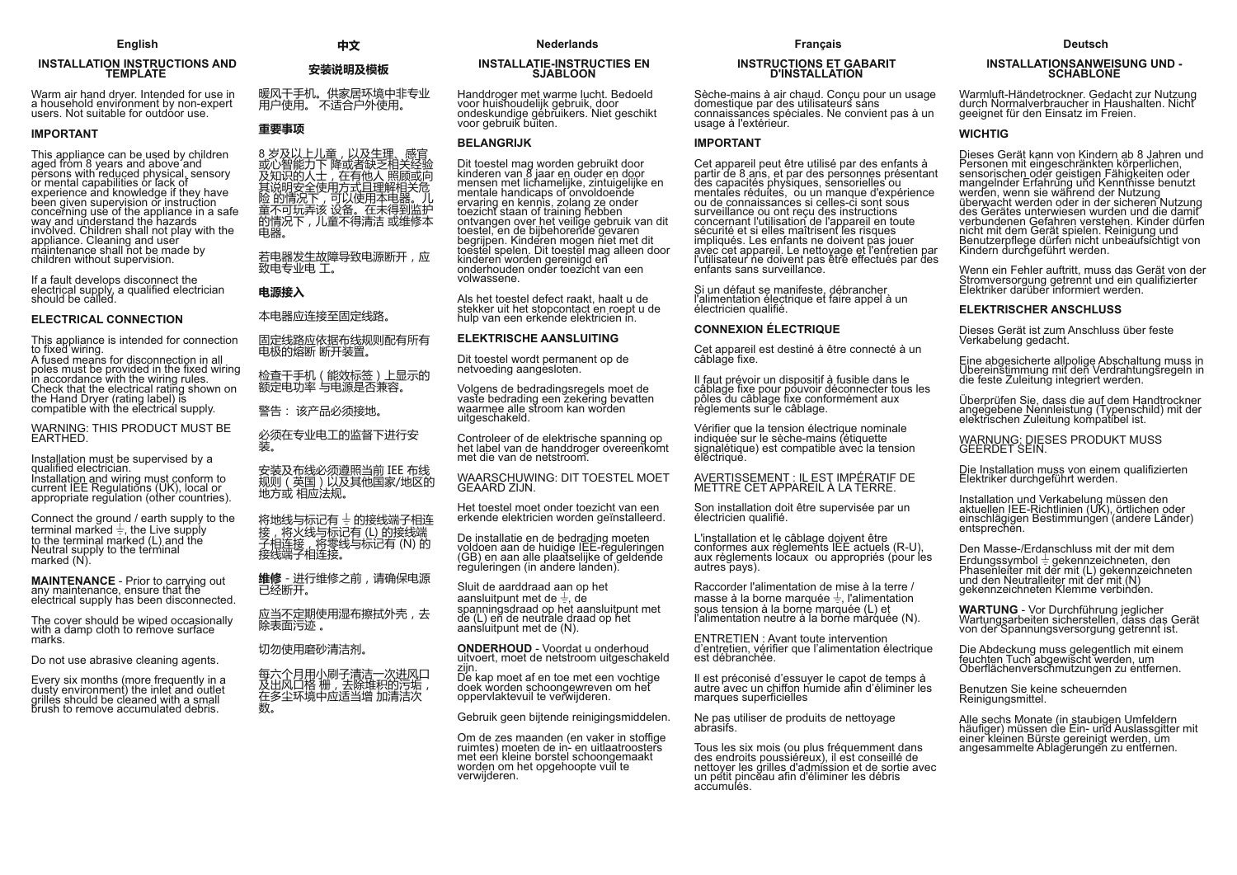# **INSTALLATION INSTRUCTIONS AND<br>TEMPLATE**

Warm air hand dryer. Intended for use in<br>a household environment by non-expert<br>users. Not suitable for outdoor use.

#### **IMPORTANT**

This appliance can be used by children<br>aged from 8 years and above and<br>persons with reduced physical, sensory<br>or mental capabilities or lack of or mental capabilities or lack of<br>experience and knowledge if they have<br>been given supervision or instruction<br>concerning use of the appliance in a safe<br>way and understand the hazards<br>involved. Children shall not play with children without supervision.

If a fault develops disconnect the<br>electrical supply, a qualified electrician<br>should be called.

#### **ELECTRICAL CONNECTION**

This appliance is intended for connection<br>to fixed wiring. A fused means for disconnection in all

poles must be provided in the fixed wiring<br>in accordance with the wiring rules. Check that the electrical rating shown on the Hand Dryer (rating label) is compatible with the electrical supply.

WARNING: THIS PRODUCT MUST BE<br>EARTHED.

Installation must be supervised by a qualified electrician. Installation and wiring must conform to<br>current IEE Regulations (UK), local or<br>appropriate regulation (other countries).

Connect the ground / earth supply to the<br>terminal marked  $\frac{1}{2}$ , the Live supply<br>to the terminal marked (L) and the Neutral supply to the terminal<br>marked (N).

**MAINTENANCE** - Prior to carrying out<br>any maintenance, ensure that the electrical supply has been disconnected.

The cover should be wiped occasionally<br>with a damp cloth to remove surface marks

Do not use abrasive cleaning agents.

Every six months (more frequently in a<br>dusty environment) the inlet and outlet<br>grilles should be cleaned with a small brush to remove accumulated debris.

#### 中文

#### 安装说明及模板

暖风干手机。供家居环境中非专业<br>用户使用。 不适合户外使用。

### 重要事项

8岁及以上儿童,以及生理、感官 。或心上儿里,以及主理、您自由的人们的人士,在有他人照顾或向人们说的人士,在有他人照顾或向及知识的人士,在有他人照顾或向后说说的人士,在有他人照顾或向后的身边的事情是不同的情况下,儿童不得清洁或维修本身<br>这个时候的情况下,可以使用本电器。儿子在哪里的人们的人生存在不同玩弄了。 电器。

若电器发生故障导致电源断开,应 致电专业电 工。

电源接入

本电器应连接至固定线路。

固定线路应依据布线规则配有所有 电极的熔断 断开装置。

检查干手机(能效标签)上显示的<br>额定电功率 与电源是否兼容。

警告: 该产品必须接地。

必须在专业电工的监督下进行安 装.

安装及布线必须遵照当前 IEE 布线<br>规则 (英国) 以及其他国家/地区的 地方或 相应法规。

将地线与标记有 + 的接线端子相连 接,将火线与标记有(L)的接线端<br>子相连接,将零线与标记有(N)的 接线端子相连接。

**维修** - 进行维修之前, 请确保电源<br>已经断开。

应当不定期使用湿布擦拭外壳,去 除表面污迹 。

切勿使用磨砂清洁剂。

每六个月用小刷子清洁一次进风口<br>及出风口格 栅,去除堆积的污垢, 在多尘环境中应适当增加清洁次<br>数。

#### **INSTALLATIE-INSTRUCTIES EN SJABLOON**

Handdroger met warme lucht. Bedoeld voor huishoudelijk gebruik, door<br>ondeskundige gebruikers. Niet geschikt<br>voor gebruik buiten.

#### **BELANGRIJK**

Dit toestel mag worden gebruikt door<br>kinderen van 8 jaar en ouder en door<br>mensen met lichamelijke, zintuigelijke en mensen met lichamelijke, zintuigelijke en<br>mentale handicaps of onvoldoende<br>ervaring en kennis, zolang ze onder<br>toezicht staan of training hebben<br>ontvangen over het veilige gebruik van dit<br>toestel, en de bijbehorende gevare kinderen worden gereinigd en<br>onderhouden onder toezicht van een volwassene.

Als het toestel defect raakt, haalt u de stekker uit het stopcontact en roept u de hulp van een erkende elektricien in.

#### **ELEKTRISCHE AANSLUITING**

Dit toestel wordt permanent op de netvoeding aangesloten.

Volgens de bedradingsregels moet de<br>vaste bedrading een zekering bevatten waste bedraamig con zekening bev<br>waarmee alle stroom kan worden<br>uitgeschakeld.

Controleer of de elektrische spanning op<br>het label van de handdroger overeenkomt met die van de netstroom.

## WAARSCHUWING: DIT TOESTEL MOET<br>GEAARD ZIJN.

Het toestel moet onder toezicht van een erkende elektricien worden geïnstalleerd.

De installatie en de bedrading moeten<br>voldoen aan de huidige IEE-reguleringen (GB) en aan alle plaatselijke of geldende<br>reguleringen (in andere landen).

Sluit de aarddraad aan op het dia de aandalaad aan op net<br>aansluitpunt met de  $\frac{1}{z}$ , de<br>spanningsdraad op het aansluitpunt met<br>de (L) en de neutrale draad op het aansluitpunt met de (N).

**ONDERHOUD** - Voordat u onderhoud<br>uitvoert, moet de netstroom uitgeschakeld ziin

De kap moet af en toe met een vochtige doek worden schoongewreven om het oppervlaktevuil te verwijderen.

Gebruik geen biitende reinigingsmiddelen.

Om de zes maanden (en vaker in stoffige<br>ruimtes) moeten de in- en uitlaatroosters met een kleine borstel schoongemaakt worden om het opgehoopte vuil te verwijderen.

# **INSTRUCTIONS ET GABARIT<br>D'INSTALLATION**

Sèche-mains à air chaud. Conçu pour un usage domestique par des utilisateurs sans connaissances spéciales. Ne convient pas à un<br>usage à l'extérieur.

#### **IMPORTANT**

Cet appareil peut être utilisé par des enfants à<br>partir de 8 ans, et par des personnes présentant partir de 8 ans, et par des personnes presentant<br>des capacités physiques, sensorielles ou<br>mentales réduites, ou un manque d'expérience<br>ou de connaissances si celles-ci sont sous<br>surveillance ou ont reçu des instructions<br>co enfants sans surveillance.

Si un défaut se manifeste, débrancher<br>l'alimentation électrique et faire appel à un électricien qualifié.

#### **CONNEXION ÉLECTRIQUE**

Cet appareil est destiné à être connecté à un<br>câblage fixe.

Il faut prévoir un dispositif à fusible dans le<br>câblage fixe pour pouvoir déconnecter tous les<br>pôles du câblage fixe conformément aux règlements sur le câblage.

Vérifier que la tension électrique nominale<br>indiquée sur le sèche-mains (étiquette<br>signalétique) est compatible avec la tension éléctrique.

# AVERTISSEMENT : IL EST IMPÉRATIF DE<br>METTRE CET APPAREIL À LA TERRE.

Son installation doit être supervisée par un<br>électricien qualifié.

L'installation et le câblage doivent être<br>conformes aux règlements IEE actuels (R-U), aux règlements locaux ou appropriés (pour les autres pays).

Raccorder l'alimentation de mise à la terre / masse à la borne marquée  $\frac{1}{x}$ , l'alimentation sous tension à la borne marquée (L) et l'alimentation neutre à la borne marquée (N).

**ENTRETIEN: Avant toute intervention** d'entretien, vérifier que l'alimentation électrique est débranchée.

Il est préconisé d'essuver le capot de temps à autre avec un chiffon humide afin d'éliminer les marques superficielles

Ne pas utiliser de produits de nettoyage abrasifs.

Tous les six mois (ou plus fréquemment dans<br>des endroits poussiéreux), il est conseillé de<br>nettoyer les grilles d'admission et de sortie avec<br>un petit pinceau afin d'éliminer les débris accumulés.

#### **Deutsch**

# INSTALLATIONSANWEISUNG UND -<br>SCHABLONE

Warmluft-Händetrockner. Gedacht zur Nutzung<br>durch Normalverbraucher in Haushalten. Nicht<br>geeignet für den Einsatz im Freien.

#### **WICHTIG**

Dieses Gerät kann von Kindern ab 8 Jahren und Personen mit eingeschränkten körperlichen, Fersorien mit eingeschrienen Fähigkeitern der<br>mangelnder Erfahrung und Kenntnisse benutzt<br>mangelnder Erfahrung und Kenntnisse benutzt<br>werden, wenn sie während der Nutzung<br>überwacht werden oder in der sicheren Nutzung<br>des G nicht mit dem Gerät spielen. Reinigung und<br>Benutzerpflege dürfen nicht unbeaufsichtigt von<br>Kindern durchgeführt werden.

Wenn ein Fehler auftritt, muss das Gerät von der<br>Stromversorgung getrennt und ein qualifizierter<br>Elektriker darüber informiert werden.

#### **ELEKTRISCHER ANSCHLUSS**

Dieses Gerät ist zum Anschluss über feste Verkabelung gedacht.

Eine abgesicherte allpolige Abschaltung muss in<br>Übereinstimmung mit den Verdrahtungsregeln in<br>die feste Zuleitung integriert werden.

Überprüfen Sie, dass die auf dem Handtrockner<br>angegebene Nennleistung (Typenschild) mit der<br>elektrischen Zuleitung kompatibel ist.

WARNUNG: DIESES PRODUKT MUSS<br>GEERDET SEIN.

Die Installation muss von einem qualifizierten Elektriker durchgeführt werden.

Installation und Verkabelung müssen den<br>aktuellen IEE-Richtlinien (UK), örtlichen oder<br>einschlägigen Bestimmungen (andere Länder) entsprechen.

Den Masse-/Erdanschluss mit der mit dem Erdungssymbol  $\pm$  gekennzeichneten, den<br>Phasenleiter mit der mit (L) gekennzeichneten<br>und den Neutralleiter mit der mit (N)<br>gekennzeichneten Klemme verbinden.

WARTUNG - Vor Durchführung jeglicher<br>Wartungsarbeiten sicherstellen, dass das Gerät<br>von der Spannungsversorgung getrennt ist.

Die Abdeckung muss gelegentlich mit einem Bie Abdelmang mass gelegenhem mit einem<br>feuchten Tuch abgewischt werden, um<br>Oberflächenverschmutzungen zu entfernen.

Benutzen Sie keine scheuernden Reinigungsmittel.

Alle sechs Monate (in staubigen Umfeldern<br>häufiger) müssen die Ein- und Auslassgitter mit<br>einer kleinen Bürste gereinigt werden, um angesammelte Ablagerungen zu entfernen.